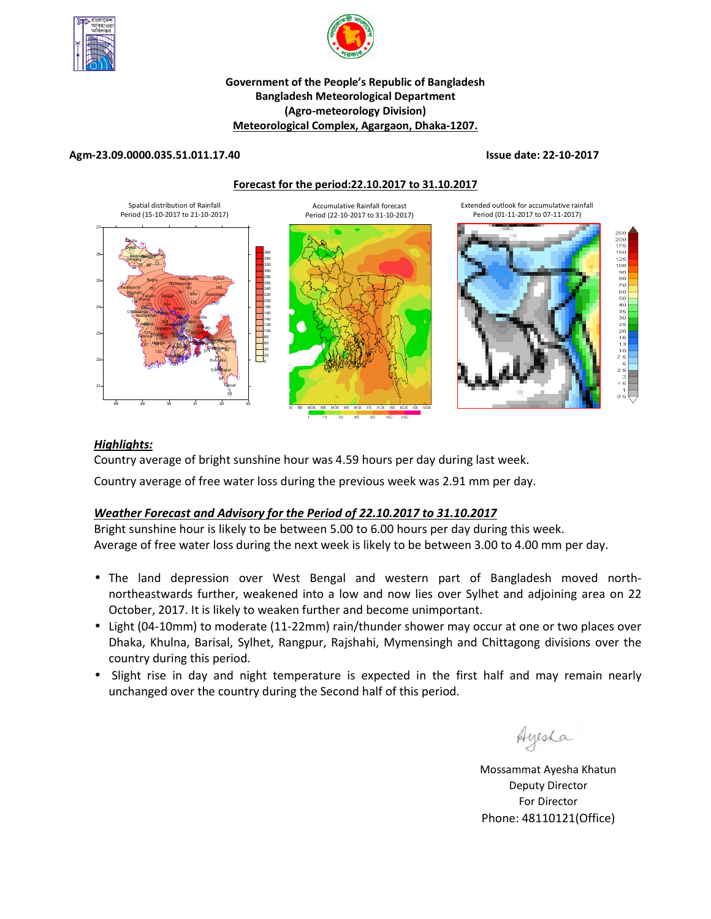



# **Government of the People's Republic of Bangladesh Bangladesh Meteorological Department (Agro-meteorology Division) Meteorological Complex, Agargaon, Dhaka-1207.**

### **Agm-23.09.0000.035.51.011.17.40 Issue date: 22-10-2017**

**Forecast for the period:22.10.2017 to 31.10.2017**



# *Highlights:*

Country average of bright sunshine hour was 4.59 hours per day during last week.

Country average of free water loss during the previous week was 2.91 mm per day.

# *Weather Forecast and Advisory for the Period of 22.10.2017 to 31.10.2017*

Bright sunshine hour is likely to be between 5.00 to 6.00 hours per day during this week. Average of free water loss during the next week is likely to be between 3.00 to 4.00 mm per day.

- The land depression over West Bengal and western part of Bangladesh moved northnortheastwards further, weakened into a low and now lies over Sylhet and adjoining area on 22 October, 2017. It is likely to weaken further and become unimportant.
- Light (04-10mm) to moderate (11-22mm) rain/thunder shower may occur at one or two places over Dhaka, Khulna, Barisal, Sylhet, Rangpur, Rajshahi, Mymensingh and Chittagong divisions over the country during this period.
- Slight rise in day and night temperature is expected in the first half and may remain nearly unchanged over the country during the Second half of this period.

Ayesha

**N.B** Mossammat Ayesha Khatun Deputy Director For Director Phone: 48110121(Office)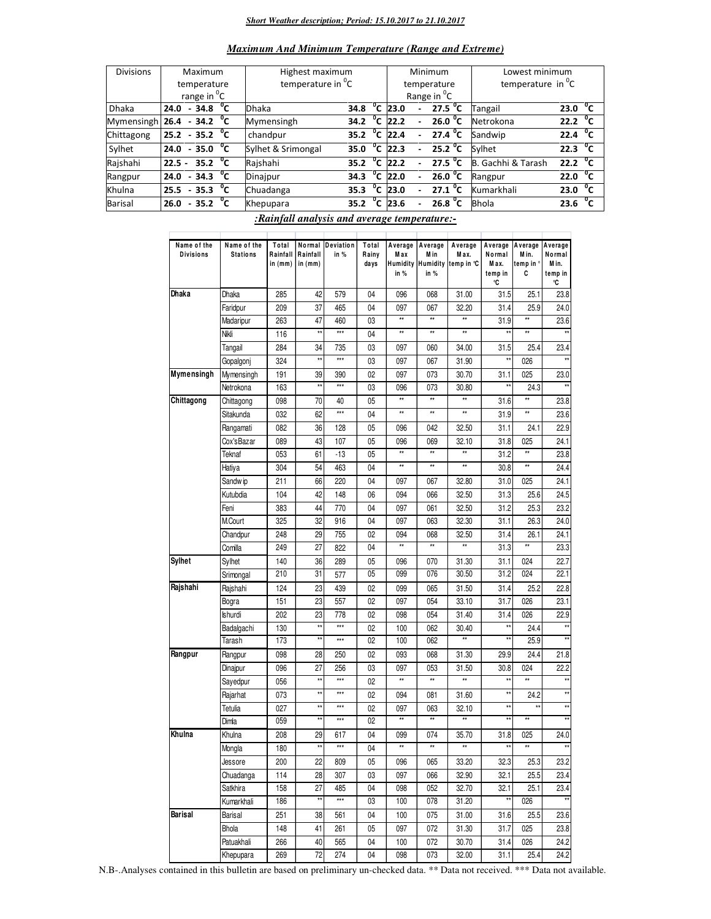#### *Short Weather description; Period: 15.10.2017 to 21.10.2017*

| <b>Maximum And Minimum Temperature (Range and Extreme)</b> |  |  |
|------------------------------------------------------------|--|--|
|------------------------------------------------------------|--|--|

| <b>Divisions</b>               | Maximum                           |  |                          |      | Highest maximum               |      |              |                        |                          | Minimum                 | Lowest minimum          |                   |              |
|--------------------------------|-----------------------------------|--|--------------------------|------|-------------------------------|------|--------------|------------------------|--------------------------|-------------------------|-------------------------|-------------------|--------------|
|                                | temperature                       |  |                          |      | temperature in <sup>"</sup> C |      |              |                        |                          | temperature             | temperature in $^0C$    |                   |              |
|                                | range in <sup>o</sup> C           |  |                          |      |                               |      |              |                        |                          | Range in <sup>O</sup> C |                         |                   |              |
| <b>Dhaka</b>                   | $-34.8\text{ }^{\circ}$ C<br>24.0 |  | <b>Dhaka</b>             | 34.8 | $^0$ C                        | 23.0 |              | 27.5 $^{\circ}$ C      | Tangail                  | 23.0                    | °c                      |                   |              |
| Mymensingh 26.4 - 34.2 $^{0}C$ |                                   |  |                          |      | Mymensingh                    | 34.2 | $^{\circ}$ c | 22.2                   |                          | 26.0 $^{\circ}$ C       | Netrokona               | 22.2              | $^{\circ}$ c |
| Chittagong                     | $25.2 - 35.2 °C$                  |  |                          |      | chandpur                      | 35.2 | $^{\circ}$ c | 22.4                   | $\overline{\phantom{0}}$ | 27.4 $^{\circ}$ C       | Sandwip                 | 22.4              | °c           |
| Sylhet                         | $24.0 - 35.0$ <sup>o</sup> C      |  |                          |      | Sylhet & Srimongal            | 35.0 |              | $\overline{^0}$ C 22.3 | $\overline{\phantom{0}}$ | 25.2 $^{\circ}$ C       | Sylhet                  | 22.3 $^{\circ}$ C |              |
| Rajshahi                       | $22.5 -$                          |  | 35.2 $^{\circ}$ C        |      | Rajshahi                      | 35.2 | °c           | 22.2                   |                          | 27.5 $^{\circ}$ C       | . Gachhi & Tarash<br>B. | 22.2 $\mathrm{C}$ |              |
| Rangpur                        | 24.0 - 34.3 $\overline{^0C}$      |  |                          |      | Dinajpur                      | 34.3 | °c           | 22.0                   |                          | 26.0 $^{\circ}$ C       | Rangpur                 | 22.0              | $^{\circ}$ c |
| Khulna                         | 25.5                              |  | $-35.3$ $^{\circ}$ C     |      | Chuadanga                     | 35.3 | °c           | 23.0                   |                          | 27.1 <sup>0</sup> C     | Kumarkhali              | 23.0              | °c           |
| <b>Barisal</b>                 | 26.0                              |  | $-35.2\text{ }^{\circ}C$ |      | Khepupara                     | 35.2 | $^0$ C       | 23.6                   |                          | 26.8 <sup>o</sup> C     | <b>Bhola</b>            | 23.6              | °c           |

*:Rainfall analysis and average temperature:-*

| Name of the<br><b>Divisions</b> | Name of the<br><b>Stations</b> | Total<br>Rainfall<br>in $(mm)$ | Rainfall<br>in $(mm)$ | Normal Deviation<br>in % | Total<br>Rainy<br>days | M a x<br>in %       | Average Average<br>M in<br>in % | Average<br>M ax.<br>Humidity Humidity temp in °C | Average<br>Normal<br>Max.<br>temp in | Average<br>M in.<br>temp in °<br>C | Average<br>Normal<br>Min.<br>temp in |
|---------------------------------|--------------------------------|--------------------------------|-----------------------|--------------------------|------------------------|---------------------|---------------------------------|--------------------------------------------------|--------------------------------------|------------------------------------|--------------------------------------|
| Dhaka                           | Dhaka                          | 285                            | 42                    | 579                      | 04                     | 096                 | 068                             | 31.00                                            | °C<br>31.5                           | 25.1                               | °C<br>23.8                           |
|                                 | Faridpur                       | 209                            | 37                    | 465                      | 04                     | 097                 | 067                             | 32.20                                            | 31.4                                 | 25.9                               | 24.0                                 |
|                                 |                                | 263                            | 47                    | 460                      | 03                     | $\star\star$        | $\star\star$                    | $\star\star$                                     | 31.9                                 | $\star\star$                       | 23.6                                 |
|                                 | Madaripur<br>Nikli             | 116                            | **                    | $***$                    | 04                     | **                  | $\star\star$                    | $\star\star$                                     | $\star$                              | **                                 | $\star\star$                         |
|                                 |                                |                                |                       |                          |                        |                     |                                 |                                                  |                                      |                                    |                                      |
|                                 | Tangail                        | 284                            | 34<br>$\star\star$    | 735<br>$***$             | 03                     | 097                 | 060                             | 34.00                                            | 31.5<br>x                            | 25.4                               | 23.4                                 |
|                                 | Gopalgonj                      | 324                            |                       |                          | 03                     | 097                 | 067                             | 31.90                                            |                                      | 026                                |                                      |
| Mymensingh                      | Mymensingh                     | 191                            | 39<br>$\star$         | 390<br>$***$             | 02                     | 097                 | 073                             | 30.70                                            | 31.1<br>**                           | 025                                | 23.0<br>$\star\star$                 |
|                                 | Netrokona                      | 163                            |                       |                          | 03                     | 096<br>$\star\star$ | 073<br>$\star\star$             | 30.80<br>$\star\star$                            |                                      | 24.3                               |                                      |
| Chittagong                      | Chittagong                     | 098                            | 70                    | 40                       | 05                     |                     |                                 |                                                  | 31.6                                 | $\star\star$                       | 23.8                                 |
|                                 | Sitakunda                      | 032                            | 62                    | ***                      | 04                     | ××                  | **                              | $\star\star$                                     | 31.9                                 | $\star\star$                       | 23.6                                 |
|                                 | Rangamati                      | 082                            | 36                    | 128                      | 05                     | 096                 | 042                             | 32.50                                            | 31.1                                 | 24.1                               | 22.9                                 |
|                                 | Cox'sBazar                     | 089                            | 43                    | 107                      | 05                     | 096                 | 069                             | 32.10                                            | 31.8                                 | 025                                | 24.1                                 |
|                                 | Teknaf                         | 053                            | 61                    | $-13$                    | 05                     | **                  | $\star\star$                    | ź,                                               | 31.2                                 | **                                 | 23.8                                 |
|                                 | Hatiya                         | 304                            | 54                    | 463                      | 04                     | **                  | $\star\star$                    | **                                               | 30.8                                 | **                                 | 24.4                                 |
|                                 | Sandw ip                       | 211                            | 66                    | 220                      | 04                     | 097                 | 067                             | 32.80                                            | 31.0                                 | 025                                | 24.1                                 |
|                                 | Kutubdia                       | 104                            | 42                    | 148                      | 06                     | 094                 | 066                             | 32.50                                            | 31.3                                 | 25.6                               | 24.5                                 |
|                                 | Feni                           | 383                            | 44                    | 770                      | 04                     | 097                 | 061                             | 32.50                                            | 31.2                                 | 25.3                               | 23.2                                 |
|                                 | M.Court                        | 325                            | 32                    | 916                      | 04                     | 097                 | 063                             | 32.30                                            | 31.1                                 | 26.3                               | 24.0                                 |
|                                 | Chandpur                       | 248                            | 29                    | 755                      | 02                     | 094                 | 068                             | 32.50                                            | 31.4                                 | 26.1                               | 24.1                                 |
|                                 | Comilla                        | 249                            | 27                    | 822                      | 04                     | **                  | $\star\star$                    | $\star\star$                                     | 31.3                                 | $\star\star$                       | 23.3                                 |
| <b>Sylhet</b>                   | Sylhet                         | 140                            | 36                    | 289                      | 05                     | 096                 | 070                             | 31.30                                            | 31.1                                 | 024                                | 22.7                                 |
|                                 | Srimongal                      | 210                            | 31                    | 577                      | 05                     | 099                 | 076                             | 30.50                                            | 31.2                                 | 024                                | 22.1                                 |
| Rajshahi                        | Rajshahi                       | 124                            | 23                    | 439                      | 02                     | 099                 | 065                             | 31.50                                            | 31.4                                 | 25.2                               | 22.8                                 |
|                                 | Bogra                          | 151                            | 23                    | 557                      | 02                     | 097                 | 054                             | 33.10                                            | 31.7                                 | 026                                | 23.1                                 |
|                                 | Ishurdi                        | 202                            | 23                    | 778                      | 02                     | 098                 | 054                             | 31.40                                            | 31.4                                 | 026                                | 22.9                                 |
|                                 | Badalgachi                     | 130                            | ×                     | $***$                    | 02                     | 100                 | 062                             | 30.40                                            | x                                    | 24.4                               | $\star\star$                         |
|                                 | Tarash                         | 173                            | $\star\star$          | ***                      | 02                     | 100                 | 062                             | $\star\star$                                     | ×                                    | 25.9                               | $**$                                 |
| Rangpur                         | Rangpur                        | 098                            | 28                    | 250                      | 02                     | 093                 | 068                             | 31.30                                            | 29.9                                 | 24.4                               | 21.8                                 |
|                                 | Dinajpur                       | 096                            | 27                    | 256                      | 03                     | 097                 | 053                             | 31.50                                            | 30.8                                 | 024                                | 22.2                                 |
|                                 | Sayedpur                       | 056                            | **                    | ***                      | 02                     | **                  | **                              | ××                                               | $\star\star$                         | **                                 | $\star\star$                         |
|                                 | Rajarhat                       | 073                            | $\star\star$          | ***                      | 02                     | 094                 | 081                             | 31.60                                            | ××                                   | 24.2                               | $\star\star$                         |
|                                 | Tetulia                        | 027                            | **                    | ***                      | 02                     | 097                 | 063                             | 32.10                                            | x                                    | **                                 | $^{\star\star}$                      |
|                                 |                                | 059                            | $\star\star$          | ***                      | 02                     | **                  | $\star\star$                    | $\star\star$                                     | ×                                    | **                                 | $**$                                 |
| Khulna                          | Dimla                          |                                |                       |                          |                        |                     |                                 |                                                  |                                      |                                    |                                      |
|                                 | Khulna                         | 208                            | 29<br>**              | 617<br>$***$             | 04                     | 099<br>**           | 074<br>$\star\star$             | 35.70<br>$\star\star$                            | 31.8<br>××                           | 025<br>**                          | 24.0<br>$\star\star$                 |
|                                 | Mongla                         | 180                            |                       |                          | 04                     |                     |                                 |                                                  |                                      |                                    |                                      |
|                                 | Jessore                        | 200                            | 22                    | 809                      | 05                     | 096                 | 065                             | 33.20                                            | 32.3                                 | 25.3                               | 23.2                                 |
|                                 | Chuadanga                      | 114                            | 28                    | 307                      | 03                     | 097                 | 066                             | 32.90                                            | 32.1                                 | 25.5                               | 23.4                                 |
|                                 | Satkhira                       | 158                            | 27                    | 485                      | 04                     | 098                 | 052                             | 32.70                                            | 32.1                                 | 25.1                               | 23.4                                 |
|                                 | Kumarkhali                     | 186                            | $\star\star$          | ***                      | 03                     | 100                 | 078                             | 31.20                                            | ××                                   | 026                                | $**$                                 |
| Barisal                         | Barisal                        | 251                            | 38                    | 561                      | 04                     | 100                 | 075                             | 31.00                                            | 31.6                                 | 25.5                               | 23.6                                 |
|                                 | Bhola                          | 148                            | 41                    | 261                      | 05                     | 097                 | 072                             | 31.30                                            | 31.7                                 | 025                                | 23.8                                 |
|                                 | Patuakhali                     | 266                            | 40                    | 565                      | 04                     | 100                 | 072                             | 30.70                                            | 31.4                                 | 026                                | 24.2                                 |
|                                 | Khepupara                      | 269                            | 72                    | 274                      | 04                     | 098                 | 073                             | 32.00                                            | 31.1                                 | 25.4                               | 24.2                                 |

N.B-.Analyses contained in this bulletin are based on preliminary un-checked data. \*\* Data not received. \*\*\* Data not available.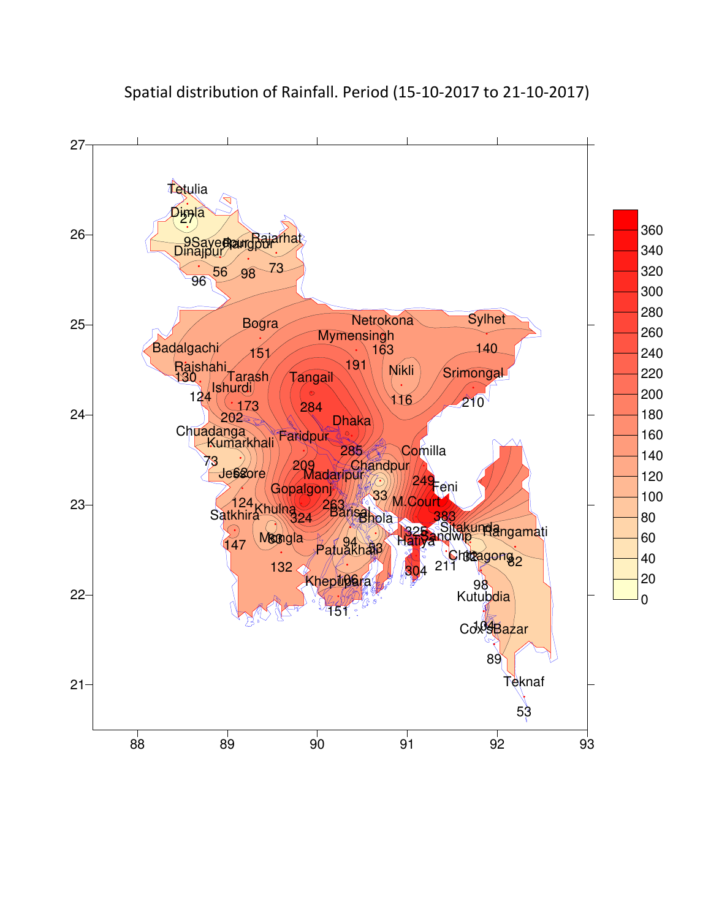

Spatial distribution of Rainfall. Period (15-10-2017 to 21-10-2017)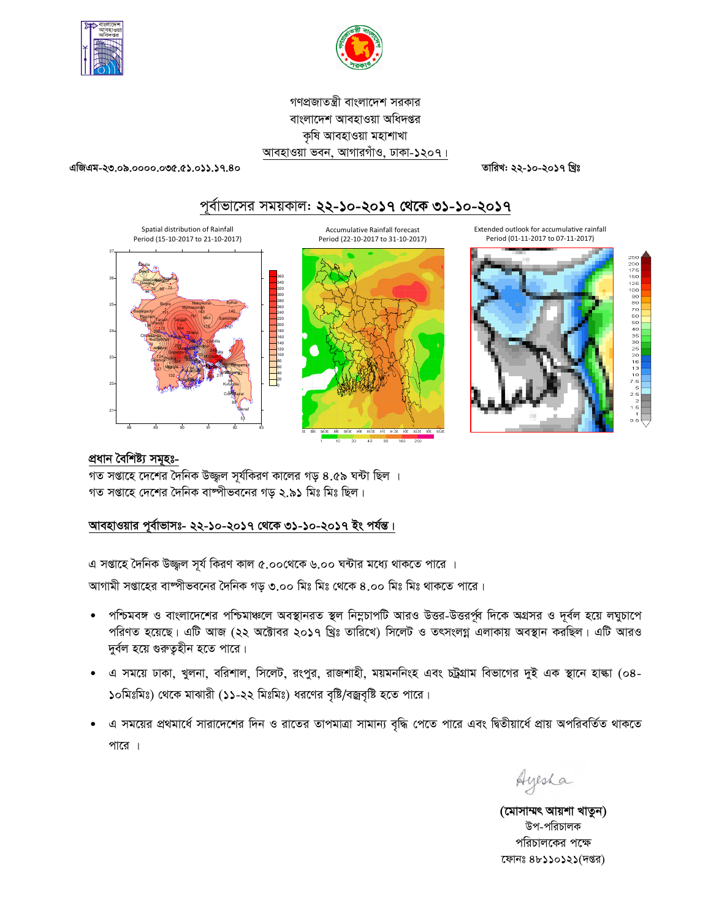



গণপ্রজাতন্ত্রী বাংলাদেশ সরকার বাংলাদেশ আবহাওয়া অধিদপ্তর কৃষি আবহাওয়া মহাশাখা আবহাওয়া ভবন, আগারগাঁও, ঢাকা-১২০৭।

এজিএম-২৩.০৯.০০০০.০৩৫.৫১.০১১.১৭.৪০

তারিখ: ২২-১০-২০১৭ খ্রিঃ

# পূর্বাভাসের সময়কাল: ২২-১০-২০১৭ থেকে ৩১-১০-২০১৭





# প্ৰধান বৈশিষ্ট্য সমূহঃ-

গত সপ্তাহে দেশের দৈনিক উজ্জ্বল সূর্যকিরণ কালের গড় ৪.৫৯ ঘন্টা ছিল । গত সপ্তাহে দেশের দৈনিক বাষ্পীভবনের গড় ২.৯১ মিঃ মিঃ ছিল।

# আবহাওয়ার পূর্বাভাসঃ- ২২-১০-২০১৭ থেকে ৩১-১০-২০১৭ ইং পর্যন্ত।

এ সপ্তাহে দৈনিক উজ্জুল সূর্য কিরণ কাল ৫.০০থেকে ৬.০০ ঘন্টার মধ্যে থাকতে পারে ।

আগামী সপ্তাহের বাষ্পীভবনের দৈনিক গড় ৩.০০ মিঃ মিঃ থেকে ৪.০০ মিঃ মিঃ থাকতে পারে।

- পশ্চিমবঙ্গ ও বাংলাদেশের পশ্চিমাঞ্চলে অবস্থানরত স্থল নিম্নচাপটি আরও উত্তর-উত্তরর্পূর দিকে অগ্রসর ও দূর্বল হয়ে লঘুচাপে পরিণত হয়েছে। এটি আজ (২২ অক্টোবর ২০১৭ খ্রিঃ তারিখে) সিলেট ও তৎসংলগ্ন এলাকায় অবস্থান করছিল। এটি আরও দুর্বল হয়ে গুরুতূহীন হতে পারে।
- এ সময়ে ঢাকা, খুলনা, বরিশাল, সিলেট, রংপুর, রাজশাহী, ময়মননিংহ এবং চট্রগ্রাম বিভাগের দুই এক স্থানে হাল্কা (০৪-১০মিঃমিঃ) থেকে মাঝারী (১১-২২ মিঃমিঃ) ধরণের বৃষ্টি/বজ্রবৃষ্টি হতে পারে।
- এ সময়ের প্রথমার্ধে সারাদেশের দিন ও রাতের তাপমাত্রা সামান্য বৃদ্ধি পেতে পারে এবং দ্বিতীয়ার্ধে প্রায় অপরিবর্তিত থাকতে পারে ।

Ayesha

(মোসাম্মৎ আয়শা খাতুন) উপ-পরিচালক পরিচালকের পক্ষে ফোনঃ ৪৮১১০১২১(দপ্তর)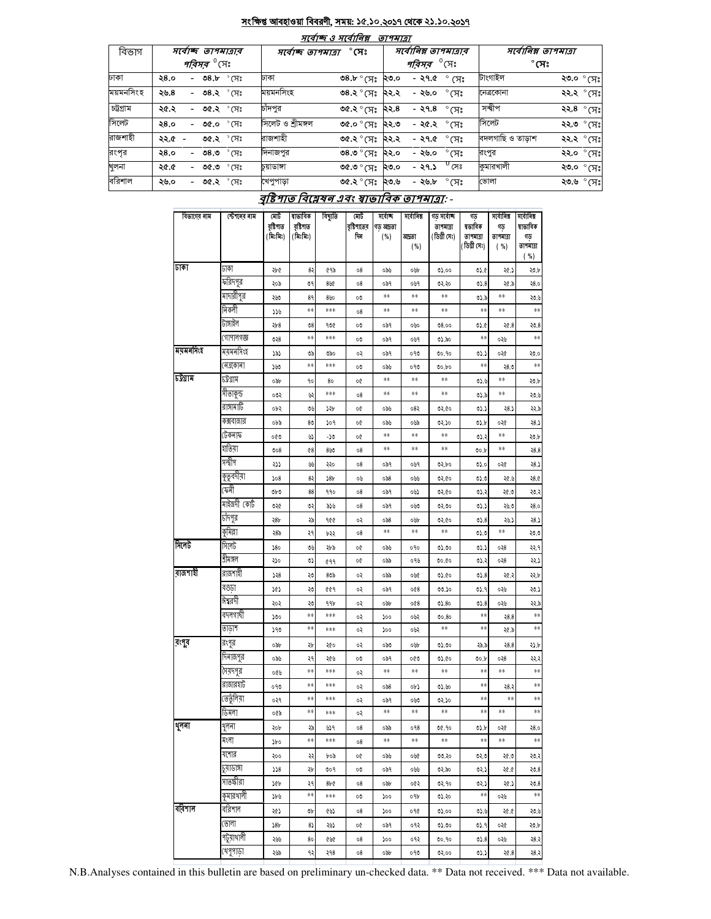## সংক্ষিপ্ত আবহাওয়া বিবরণী, সময়: ১৫.১০.২০১৭ থেকে ২১.১০.২০১৭

| বিভাগ     |      |                          | সৰ্বোচ্ছ তাপমাত্ৰাৰ           |                |                   | માવાજ હ માવાાનશ્ન                  | <i>פואיזפ</i> י |        | সর্বোনিম্ন তাপমাত্রার               |                                      |             |  |
|-----------|------|--------------------------|-------------------------------|----------------|-------------------|------------------------------------|-----------------|--------|-------------------------------------|--------------------------------------|-------------|--|
|           |      |                          | <i>পরিসর <sup>৩</sup></i> সেঃ |                |                   | $^\circ$ সেঃ<br>সৰ্বোচ্ছ তাপমাত্ৰা |                 |        | <i><b>পরিসর <sup>৩</sup>(সং</b></i> | সর্বোনিম্ন তাপমাত্রা<br>$^\circ$ সেঃ |             |  |
| ঢাকা      | ২8.০ |                          | - ৩৪.৮                        | $^{\circ}$ সেঃ | ঢাকা              | ৩৪.৮ ° (সঃ                         | ২৩.০            | - ২৭.৫ | $^\circ$ (সঃ                        | টাংগাইল                              | ২৩.০ ° সেঃ  |  |
| ময়মনসিংহ | ২৬.৪ |                          | - ৩৪.২ ° সেঃ                  |                | ময়মনসিংহ         | ৩৪.২ ° সেঃ                         | ২২.২            | - ২৬.০ | $^{\circ}$ সেঃ                      | নেত্ৰকোনা                            | ২২.২ °সেঃl  |  |
| চট্টগ্ৰাম | ২৫.২ |                          | - ৩৫.২ $\degree$ সেঃ          |                | চাঁদপুর           | ৩৫.২ ° সেঃ                         | ২২.৪            | - ২৭.৪ | $^{\circ}$ সেঃ                      | সন্দ্বীপ                             | ২২.8 ° সেঃ  |  |
| সিলেট     | ২8.০ |                          | - ৩৫.০                        | $^{\circ}$ (সঃ | সিলেট ও শ্ৰীমঙ্গল | °ে °সেঃ                            | ২২.৩            | - ২৫.২ | °(त्रि                              | সিলেট                                | ২২.৩ ° সেঃ  |  |
| রাজশাহী   | ২২.৫ | $\overline{\phantom{a}}$ | ৩৫.২ ° সেঃ                    |                | রাজশাহী           | ৩৫.২ ° সেঃ                         | ২২.২            | - ২৭.৫ | $\degree$ মেঃ                       | বদলগাছি ও তাড়াশ                     | ২২.২ ° সেঃ  |  |
| রংপূর     | ২8.० |                          | - ৩৪.৩                        | $^{\circ}$ সেঃ | দিনাজপুর          | ংদ)° <b>°.</b> 8                   | ২২.০            | - ২৬.০ | $^{\circ}$ সেঃ                      | রংপুর                                | ২২.০ ° সেঃ  |  |
| খুলনা     | ২৫.৫ |                          | - ৩৫.৩                        | $^{\circ}$ মেঃ | চয়াডাঙ্গা        | ংদ)° <b>°.</b> ৩                   | ২৩.০            | - ২৭.১ | $^0$ সেঃ                            | কুমারখালী                            | ২৩.০ ° সেঃ  |  |
| বরিশাল    | ২৬.০ |                          | - ৩৫.২ $\degree$ সেঃ          |                | খেপুপাড়া         | ৩৫.২ ° মেঃ ২৩.৬                    |                 | - ২৬.৮ | $\degree$ (X $\degree$              | ভোলা                                 | ২৩.৬ ° সেঃl |  |

# বৃষ্টিপাত বিশ্লেষৰ এবং স্বাভাবিক তাপমাত্ৰা: -

| বিভাগের নাম | স্টেশনের নাম | মোট<br>বৃষ্টিপাত<br>(किःग्रिः) | ষাভাবিক<br>বৃষ্টিপাত<br>(মিঃমিঃ) | বিছ্যুতি        | মোট<br>বৃষ্টিপাতের<br>দিন | সৰ্বোচ্ছ<br>গড় আদ্ৰতা<br>( %) | সৰ্বোনিম্ন<br>আদ্রতা<br>( %) | গড সৰ্বোচ্ছ<br>তাপমাত্রা<br>(ডিগ্ৰী সেঃ) | গড<br>ষভাবিক<br>তাপমাত্রা<br>(ডিগ্ৰী সেঃ) | সৰ্বোনিম্ন<br>গড়<br>তাপমাত্রা<br>( %) | সৰ্বোনিম্ন<br>ষাভাবিক<br>গড়<br>তাপমাত্রা |
|-------------|--------------|--------------------------------|----------------------------------|-----------------|---------------------------|--------------------------------|------------------------------|------------------------------------------|-------------------------------------------|----------------------------------------|-------------------------------------------|
| ঢাকা        | ঢাকা         | ২৮৫                            | 82                               | ৫৭৯             | 08                        | ಂತಿತಿ                          | oub                          | 05.00                                    | 05.6                                      | ২৫.১                                   | ( %)<br>30.6                              |
|             | ফরিদপুর      | ২০৯                            | ৩৭                               | 860             | 08                        | ०৯१                            | ०७१                          | ७२.२०                                    | 05.8                                      | ২৫.৯                                   | 28.0                                      |
|             | মাদারীপুর    | ২৬৩                            | 89                               | 890             | 00                        | **                             | **                           | **                                       | ৩১.৯                                      | **                                     | 20.6                                      |
|             | নিকলী        | ১১৬                            | **                               | ***             | 08                        | **                             | **                           | **                                       | **                                        | **                                     | **                                        |
|             | টাঙ্গাইল     | ২৮৪                            | 08                               | ৭৩৫             | 00                        | ०৯१                            | ০৬০                          | 08.00                                    | V.C                                       | 20.8                                   | 20.8                                      |
|             | গোপালগজ্ঞ    | ৩২৪                            | **                               | ***             | 00                        | ०৯१                            | ০৬৭                          | ৩১.৯০                                    | **                                        | ০২৬                                    | **                                        |
| ম্যমনসিংহ   | ময়মনসিংহ    | 797                            | ು                                | ರಿನಿಂ           | ०२                        | ०৯१                            | ০৭৩                          | 00.90                                    | د.ده                                      | ०२৫                                    | 30.0                                      |
|             | (নত্ৰকোনা    | 500                            | **                               | ***             | 00                        | ಂತಿತಿ                          | ০৭৩                          | 00.00                                    | **                                        | 28 <sub>c</sub>                        | **                                        |
| টট্ৰগ্ৰাম   | চটগ্ৰাম      | odb                            | 90                               | 80              | o¢                        | **                             | **                           | **                                       | 0.6                                       | **                                     | 30.6                                      |
|             | সীতাকুন্ড    | ০৩২                            | ৬২                               | ***             | 08                        | $\ast\ast$                     | **                           | **                                       | 05.5                                      | **                                     | 20.6                                      |
|             | রাঙ্গামাটি   | ০৮২                            | OU                               | 754             | o¢                        | ಂತಿತಿ                          | ०8२                          | ७२.৫०                                    | د.ده                                      | 28.3                                   | २२.৯                                      |
|             | কক্সবাজার    | ০৮৯                            | 80                               | २०१             | o¢                        | ೦೩೬                            | ০৬৯                          | ৩২.১০                                    | OS 6                                      | ०२৫                                    | ر 8ع                                      |
|             | টেকনাফ       | ০৫৩                            | 97                               | -70             | o¢                        | **                             | **                           | **                                       | 0.3                                       | **                                     | 30.6                                      |
|             | যাতমা        | 008                            | $^{68}$                          | 800             | 08                        | **                             | **                           | **                                       | 00.b                                      | **                                     | 28.8                                      |
|             | সন্দ্বীপ     | 277                            | yy                               | २२०             | 08                        | ०৯१                            | ०७१                          | 05.00                                    | 05.0                                      | ०२৫                                    | ر 8ع                                      |
|             | কুতুবদীয়া   | 508                            | 82                               | 38b             | ob                        | 058                            | ০৬৬                          | ७२.৫०                                    | 0) ره                                     | 1.95                                   | 28.0                                      |
|             | ফেনী         | ৩৮৩                            | 88                               | 990             | 08                        | ०৯१                            | ০৬১                          | ৩২.৫০                                    | 05.3                                      | ং ৩                                    | ২৩.২                                      |
|             | মাইজদী কোর্ট | ৩২৫                            | ৩২                               | ১১৬             | 08                        | ०৯१                            | ow                           | 02,00                                    | 03.3                                      | ২৬.৩                                   | 28.0                                      |
|             | চাঁদপুর      | ২8৮                            | ২৯                               | 900             | ०२                        | 0.86                           | oub                          | ७२.৫०                                    | 0.8                                       | 26.2                                   | ২8.১                                      |
|             | কুমিল্লা     | ২৪৯                            | ২৭                               | ৮২২             | 08                        | **                             | **                           | $\ast\ast$                               | 0.0                                       | **                                     | ২৩.৩                                      |
| সিলেট       | সিলেট        | \$80                           | $\sqrt{2}$                       | ২৮৯             | o¢                        | ಂತಿತಿ                          | 090                          | 05.00                                    | 0.1                                       | 028                                    | ૨૨.૧                                      |
|             | শ্ৰীমঙ্গল    | ২১০                            | O)                               | 699             | o¢                        | ০৯৯                            | ०१७                          | 00.00                                    | 0.3                                       | 028                                    | ২২.১                                      |
| রাজশাহী     | রাজশাহী      | 358                            | ২৩                               | 80 <sub>b</sub> | ०२                        | ০৯৯                            | ०७৫                          | 05.60                                    | 05.8                                      | ২৫.২                                   | ২২.৮                                      |
|             | বগুড়া       | 767                            | ২৩                               | 649             | ०२                        | ०৯१                            | 008                          | 00.50                                    | 9. (٥                                     | ০২৬                                    | ২৩.১                                      |
|             | ঈশ্বরদী      | ২০২                            | 99                               | 996             | ०२                        | obb                            | 008                          | 05.80                                    | 0.8                                       | ০২৬                                    | ২২.৯                                      |
|             | বদলগাদী      | 500                            | **                               | ***             | ०२                        | ১০০                            | ০৬২                          | 00.80                                    | $**$                                      | 28.8                                   | **                                        |
|             | তাডাশ        | 590                            | **                               | ***             | ०२                        | 200                            | ০৬২                          | **                                       | **                                        | ২৫.৯                                   | **                                        |
| রংগ্র       | রংপুর        | odb                            | ২৮                               | ২৫০             | ०२                        | ುಂ                             | oub                          | 05.00                                    | ২৯.৯                                      | 28.8                                   | ২১.৮                                      |
|             | দিনাজপুর     | ০৯৬                            | ২৭                               | ২৫৬             | 00                        | ०৯१                            | ০৫৩                          | 05.60                                    | 00.b                                      | 028                                    | २२.२                                      |
|             | সৈয়দপুর     | ০৫৬                            | **                               | ***             | ०२                        | $\ast\ast$                     | **                           | $\ast\ast$                               | $**$                                      | $\ast\ast$                             | **                                        |
|             | রাজারহাট     | ০৭৩                            | **                               | ***             | ०२                        | 0.86                           | ob)                          | 01.60                                    | **                                        | 28.3                                   | **                                        |
|             | ভেতুলিয়া    | ०२१                            | **                               | ***             | ०२                        | ०৯१                            | ow                           | ৩২.১০                                    | **                                        | $**$                                   | **                                        |
|             | ডিমলা        | ০৫৯                            | **                               | ***             | ०२                        | $\ast\ast$                     | **                           | **                                       | **                                        | **                                     | **                                        |
| থুলনা       | থুলনা        | ২০৮                            | ২৯                               | 969             | 08                        | ০৯৯                            | 098                          | ৩৫.৭০                                    | 0).b                                      | ०२৫                                    | 28.0                                      |
|             | মংলা         | <b>SPO</b>                     | **                               | ***             | 08                        | **                             | **                           | **                                       | **                                        | **                                     | **                                        |
|             | যশোর         | २००                            | રર                               | ৮০৯             | 90                        | ಂತಿತಿ                          | ০৬৫                          | ৩৩.২০                                    | 950                                       | ২৫.৩                                   | ২৩.২                                      |
|             | प्राणाम्     | 328                            | ২৮                               | ৩০৭             | 00                        | ०৯१                            | ০৬৬                          | ৩২.৯০                                    | 02.5                                      | 9.95                                   | 20.8                                      |
|             | সাতক্ষীরা    | ንឲβ                            | ২৭                               | 8b C            | 08                        | obb                            | ०৫২                          | ৩২.৭০                                    | 057                                       | ২৫.১                                   | 20.8                                      |
|             | কুমারথালী    | ১৮৬                            | $\ast\ast$                       | ***             | 00                        | 200                            | ०१৮                          | ৩১.২০                                    | **                                        | ০২৬                                    | **                                        |
| ৰবিশাল      | বরিশাল       | ২৫১                            | Vb                               | ৫৬১             | 08                        | 200                            | ०१৫                          | 05.00                                    | 0.6                                       | ২৫.৫                                   | 20.6                                      |
|             | ভোলা         | 38b                            | 85                               | ২৬১             | oQ                        | ०৯१                            | ०१२                          | ৩১.৩০                                    | 05.9                                      | ०२৫                                    | ২৩.৮                                      |
|             | পটুয়াথালী   | ২৬৬                            | 80                               | 000             | 08                        | 200                            | ०१२                          | 00.90                                    | 0.8                                       | ০২৬                                    | ર8.ર                                      |
|             | খেণুপাড়া    | ২৬৯                            | ৭২                               | ২৭৪             | 08                        | obb                            | ০৭৩                          | ৩২.০০                                    | 03.5                                      | 20.8                                   | ২8.২                                      |

N.B.Analyses contained in this bulletin are based on preliminary un-checked data. \*\* Data not received. \*\*\* Data not available.